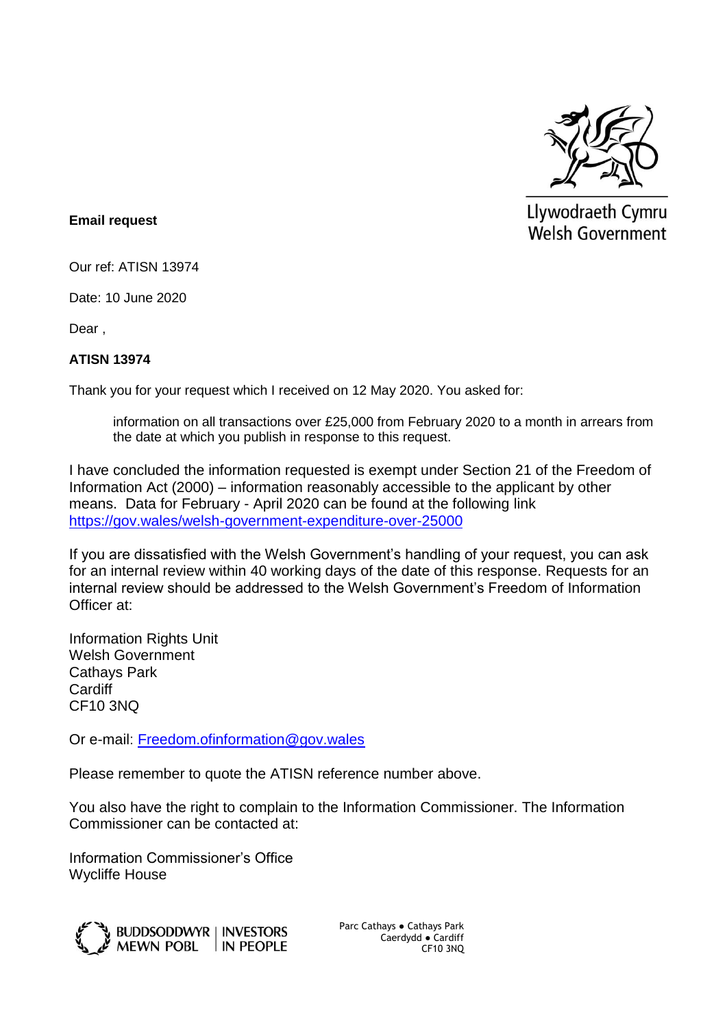

Llywodraeth Cymru **Welsh Government** 

## **Email request**

Our ref: ATISN 13974

Date: 10 June 2020

Dear ,

## **ATISN 13974**

Thank you for your request which I received on 12 May 2020. You asked for:

information on all transactions over £25,000 from February 2020 to a month in arrears from the date at which you publish in response to this request.

I have concluded the information requested is exempt under Section 21 of the Freedom of Information Act (2000) – information reasonably accessible to the applicant by other means. Data for February - April 2020 can be found at the following link <https://gov.wales/welsh-government-expenditure-over-25000>

If you are dissatisfied with the Welsh Government's handling of your request, you can ask for an internal review within 40 working days of the date of this response. Requests for an internal review should be addressed to the Welsh Government's Freedom of Information Officer at:

Information Rights Unit Welsh Government Cathays Park **Cardiff** CF10 3NQ

Or e-mail: [Freedom.ofinformation@gov.wales](mailto:Freedom.ofinformation@gov.wales)

Please remember to quote the ATISN reference number above.

You also have the right to complain to the Information Commissioner. The Information Commissioner can be contacted at:

Information Commissioner's Office Wycliffe House



Parc Cathays ● Cathays Park Caerdydd ● Cardiff CF10 3NQ